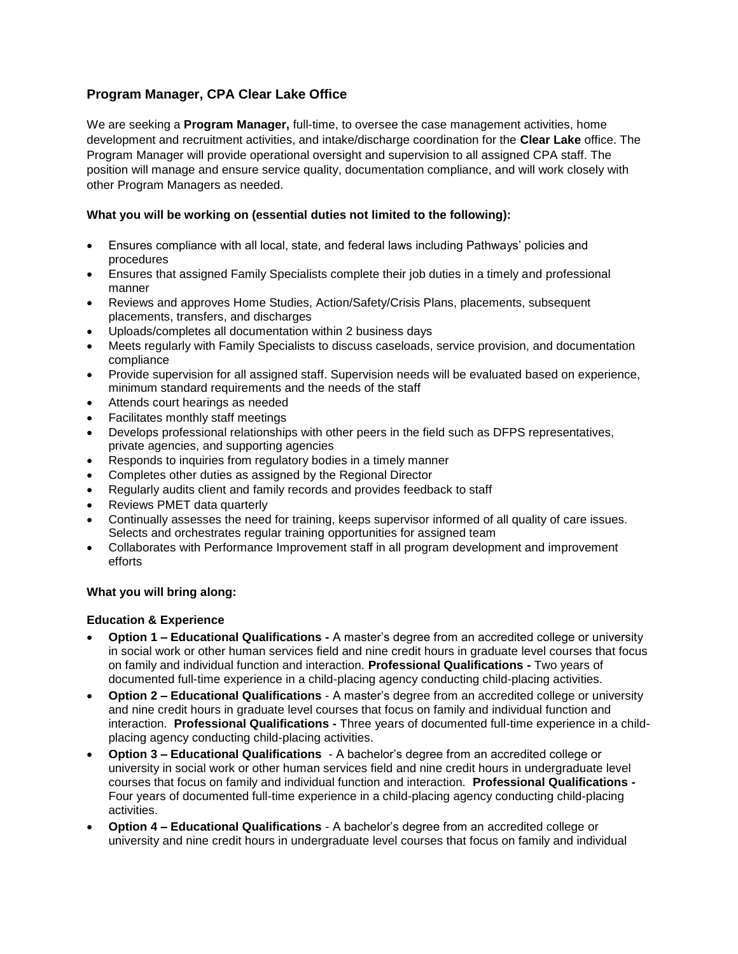# **Program Manager, CPA Clear Lake Office**

We are seeking a **Program Manager,** full-time, to oversee the case management activities, home development and recruitment activities, and intake/discharge coordination for the **Clear Lake** office. The Program Manager will provide operational oversight and supervision to all assigned CPA staff. The position will manage and ensure service quality, documentation compliance, and will work closely with other Program Managers as needed.

## **What you will be working on (essential duties not limited to the following):**

- Ensures compliance with all local, state, and federal laws including Pathways' policies and procedures
- Ensures that assigned Family Specialists complete their job duties in a timely and professional manner
- Reviews and approves Home Studies, Action/Safety/Crisis Plans, placements, subsequent placements, transfers, and discharges
- Uploads/completes all documentation within 2 business days
- Meets regularly with Family Specialists to discuss caseloads, service provision, and documentation compliance
- Provide supervision for all assigned staff. Supervision needs will be evaluated based on experience, minimum standard requirements and the needs of the staff
- Attends court hearings as needed
- Facilitates monthly staff meetings
- Develops professional relationships with other peers in the field such as DFPS representatives, private agencies, and supporting agencies
- Responds to inquiries from regulatory bodies in a timely manner
- Completes other duties as assigned by the Regional Director
- Regularly audits client and family records and provides feedback to staff
- Reviews PMET data quarterly
- Continually assesses the need for training, keeps supervisor informed of all quality of care issues. Selects and orchestrates regular training opportunities for assigned team
- Collaborates with Performance Improvement staff in all program development and improvement efforts

### **What you will bring along:**

### **Education & Experience**

- **Option 1 – Educational Qualifications -** A master's degree from an accredited college or university in social work or other human services field and nine credit hours in graduate level courses that focus on family and individual function and interaction. **Professional Qualifications -** Two years of documented full-time experience in a child-placing agency conducting child-placing activities.
- **Option 2 – Educational Qualifications** A master's degree from an accredited college or university and nine credit hours in graduate level courses that focus on family and individual function and interaction. **Professional Qualifications -** Three years of documented full-time experience in a childplacing agency conducting child-placing activities.
- **Option 3 – Educational Qualifications** A bachelor's degree from an accredited college or university in social work or other human services field and nine credit hours in undergraduate level courses that focus on family and individual function and interaction. **Professional Qualifications -** Four years of documented full-time experience in a child-placing agency conducting child-placing activities.
- **Option 4 – Educational Qualifications** A bachelor's degree from an accredited college or university and nine credit hours in undergraduate level courses that focus on family and individual